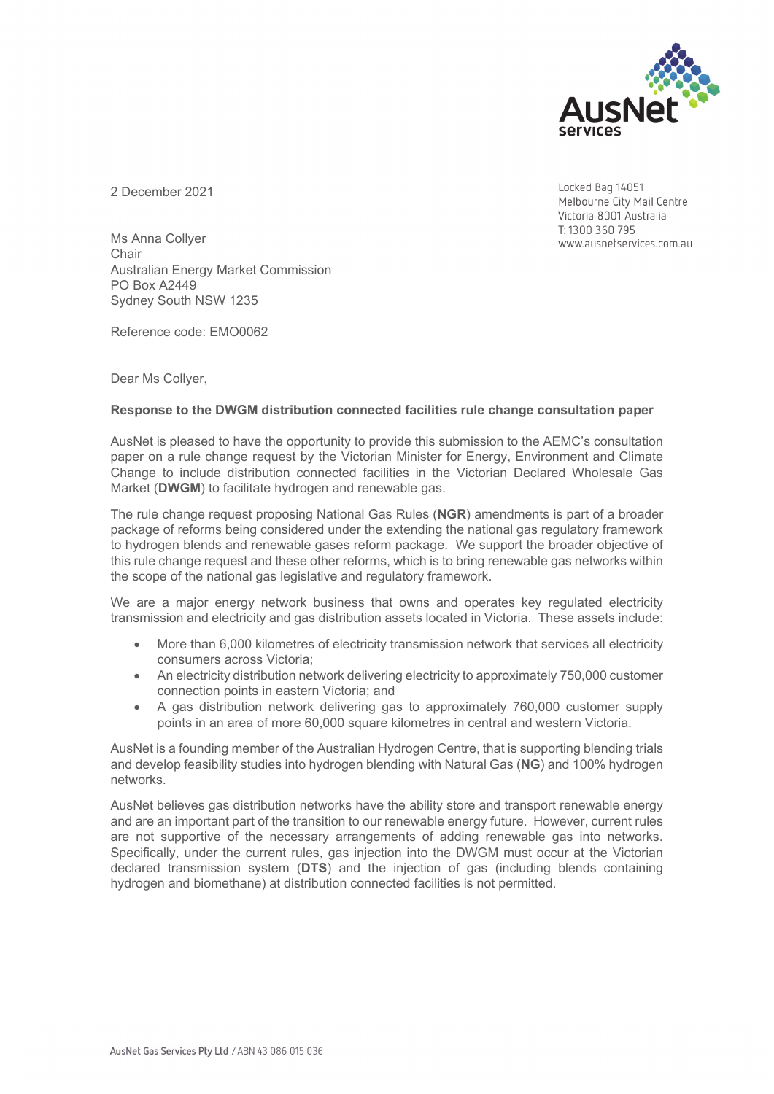

2 December 2021

Locked Bag 14051 Melbourne City Mail Centre Victoria 8001 Australia T: 1300 360 795 www.ausnetservices.com.au

Ms Anna Collyer **Chair** Australian Energy Market Commission PO Box A2449 Sydney South NSW 1235

Reference code: EMO0062

Dear Ms Collyer,

## **Response to the DWGM distribution connected facilities rule change consultation paper**

AusNet is pleased to have the opportunity to provide this submission to the AEMC's consultation paper on a rule change request by the Victorian Minister for Energy, Environment and Climate Change to include distribution connected facilities in the Victorian Declared Wholesale Gas Market (**DWGM**) to facilitate hydrogen and renewable gas.

The rule change request proposing National Gas Rules (**NGR**) amendments is part of a broader package of reforms being considered under the extending the national gas regulatory framework to hydrogen blends and renewable gases reform package. We support the broader objective of this rule change request and these other reforms, which is to bring renewable gas networks within the scope of the national gas legislative and regulatory framework.

We are a major energy network business that owns and operates key regulated electricity transmission and electricity and gas distribution assets located in Victoria. These assets include:

- More than 6,000 kilometres of electricity transmission network that services all electricity consumers across Victoria;
- An electricity distribution network delivering electricity to approximately 750,000 customer connection points in eastern Victoria; and
- A gas distribution network delivering gas to approximately 760,000 customer supply points in an area of more 60,000 square kilometres in central and western Victoria.

AusNet is a founding member of the Australian Hydrogen Centre, that is supporting blending trials and develop feasibility studies into hydrogen blending with Natural Gas (**NG**) and 100% hydrogen networks.

AusNet believes gas distribution networks have the ability store and transport renewable energy and are an important part of the transition to our renewable energy future. However, current rules are not supportive of the necessary arrangements of adding renewable gas into networks. Specifically, under the current rules, gas injection into the DWGM must occur at the Victorian declared transmission system (**DTS**) and the injection of gas (including blends containing hydrogen and biomethane) at distribution connected facilities is not permitted.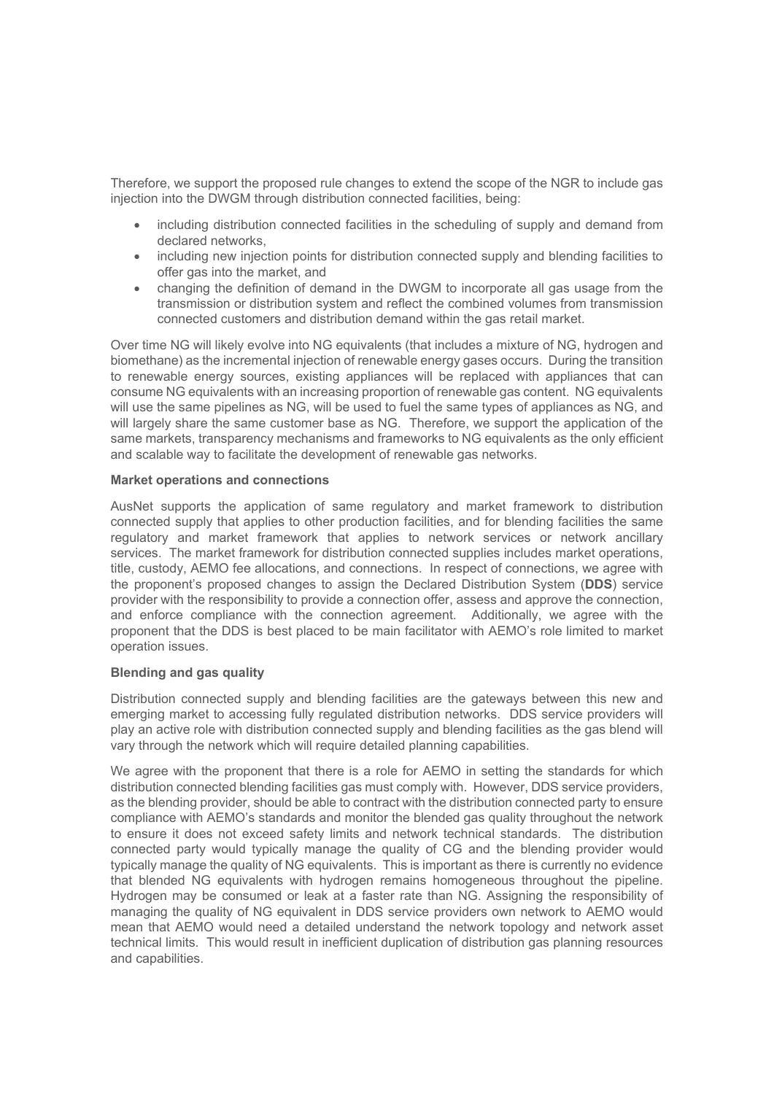Therefore, we support the proposed rule changes to extend the scope of the NGR to include gas injection into the DWGM through distribution connected facilities, being:

- including distribution connected facilities in the scheduling of supply and demand from declared networks,
- including new injection points for distribution connected supply and blending facilities to offer gas into the market, and
- changing the definition of demand in the DWGM to incorporate all gas usage from the transmission or distribution system and reflect the combined volumes from transmission connected customers and distribution demand within the gas retail market.

Over time NG will likely evolve into NG equivalents (that includes a mixture of NG, hydrogen and biomethane) as the incremental injection of renewable energy gases occurs. During the transition to renewable energy sources, existing appliances will be replaced with appliances that can consume NG equivalents with an increasing proportion of renewable gas content. NG equivalents will use the same pipelines as NG, will be used to fuel the same types of appliances as NG, and will largely share the same customer base as NG. Therefore, we support the application of the same markets, transparency mechanisms and frameworks to NG equivalents as the only efficient and scalable way to facilitate the development of renewable gas networks.

### **Market operations and connections**

AusNet supports the application of same regulatory and market framework to distribution connected supply that applies to other production facilities, and for blending facilities the same regulatory and market framework that applies to network services or network ancillary services. The market framework for distribution connected supplies includes market operations, title, custody, AEMO fee allocations, and connections. In respect of connections, we agree with the proponent's proposed changes to assign the Declared Distribution System (**DDS**) service provider with the responsibility to provide a connection offer, assess and approve the connection, and enforce compliance with the connection agreement. Additionally, we agree with the proponent that the DDS is best placed to be main facilitator with AEMO's role limited to market operation issues.

# **Blending and gas quality**

Distribution connected supply and blending facilities are the gateways between this new and emerging market to accessing fully regulated distribution networks. DDS service providers will play an active role with distribution connected supply and blending facilities as the gas blend will vary through the network which will require detailed planning capabilities.

We agree with the proponent that there is a role for AEMO in setting the standards for which distribution connected blending facilities gas must comply with. However, DDS service providers, as the blending provider, should be able to contract with the distribution connected party to ensure compliance with AEMO's standards and monitor the blended gas quality throughout the network to ensure it does not exceed safety limits and network technical standards. The distribution connected party would typically manage the quality of CG and the blending provider would typically manage the quality of NG equivalents. This is important as there is currently no evidence that blended NG equivalents with hydrogen remains homogeneous throughout the pipeline. Hydrogen may be consumed or leak at a faster rate than NG. Assigning the responsibility of managing the quality of NG equivalent in DDS service providers own network to AEMO would mean that AEMO would need a detailed understand the network topology and network asset technical limits. This would result in inefficient duplication of distribution gas planning resources and capabilities.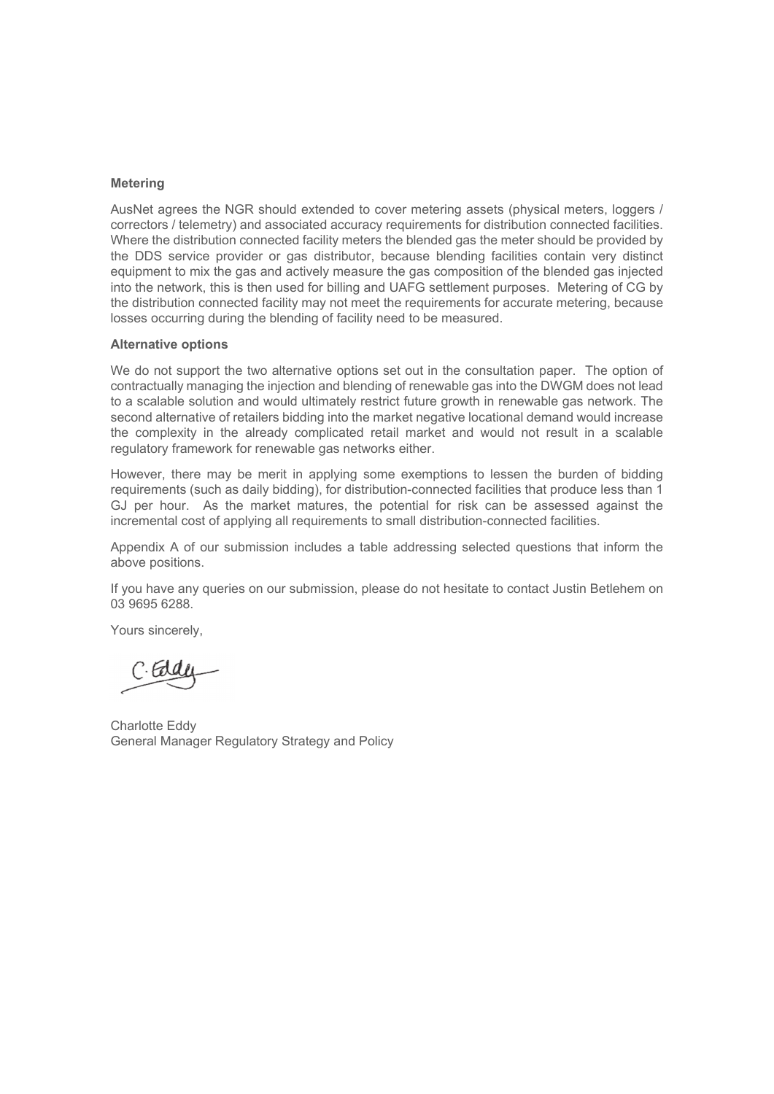### **Metering**

AusNet agrees the NGR should extended to cover metering assets (physical meters, loggers / correctors / telemetry) and associated accuracy requirements for distribution connected facilities. Where the distribution connected facility meters the blended gas the meter should be provided by the DDS service provider or gas distributor, because blending facilities contain very distinct equipment to mix the gas and actively measure the gas composition of the blended gas injected into the network, this is then used for billing and UAFG settlement purposes. Metering of CG by the distribution connected facility may not meet the requirements for accurate metering, because losses occurring during the blending of facility need to be measured.

#### **Alternative options**

We do not support the two alternative options set out in the consultation paper. The option of contractually managing the injection and blending of renewable gas into the DWGM does not lead to a scalable solution and would ultimately restrict future growth in renewable gas network. The second alternative of retailers bidding into the market negative locational demand would increase the complexity in the already complicated retail market and would not result in a scalable regulatory framework for renewable gas networks either.

However, there may be merit in applying some exemptions to lessen the burden of bidding requirements (such as daily bidding), for distribution-connected facilities that produce less than 1 GJ per hour. As the market matures, the potential for risk can be assessed against the incremental cost of applying all requirements to small distribution-connected facilities.

Appendix A of our submission includes a table addressing selected questions that inform the above positions.

If you have any queries on our submission, please do not hesitate to contact Justin Betlehem on 03 9695 6288.

Yours sincerely,

Charlotte Eddy General Manager Regulatory Strategy and Policy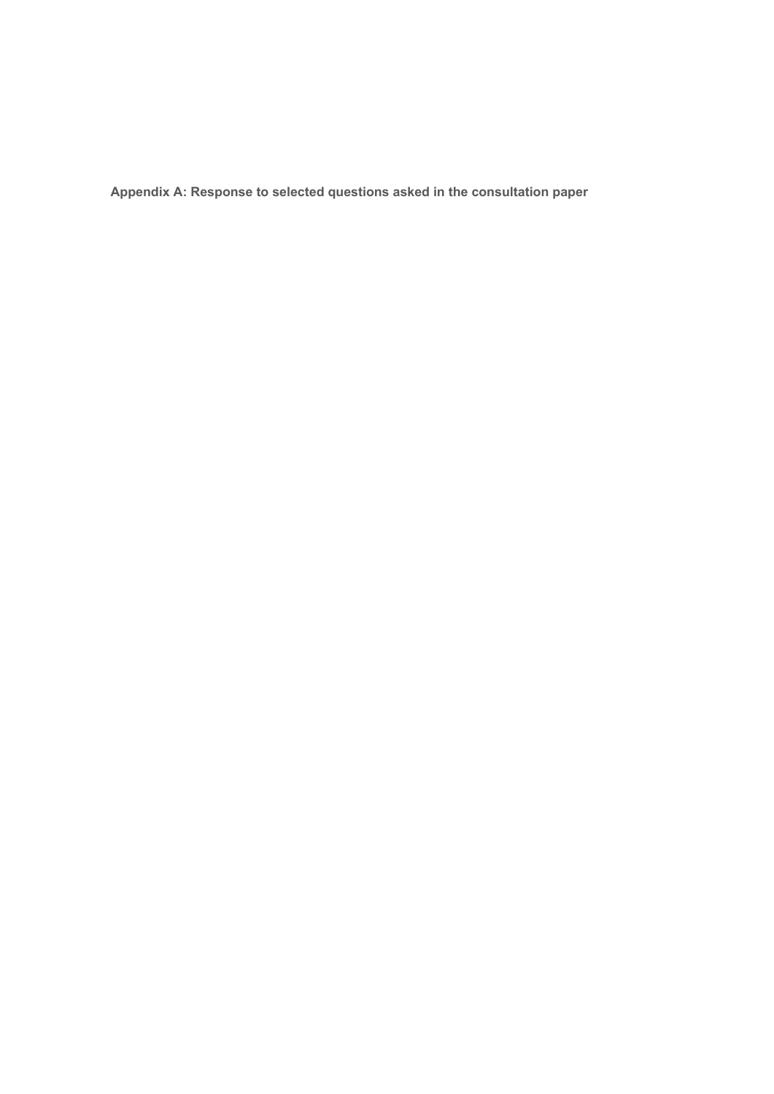**Appendix A: Response to selected questions asked in the consultation paper**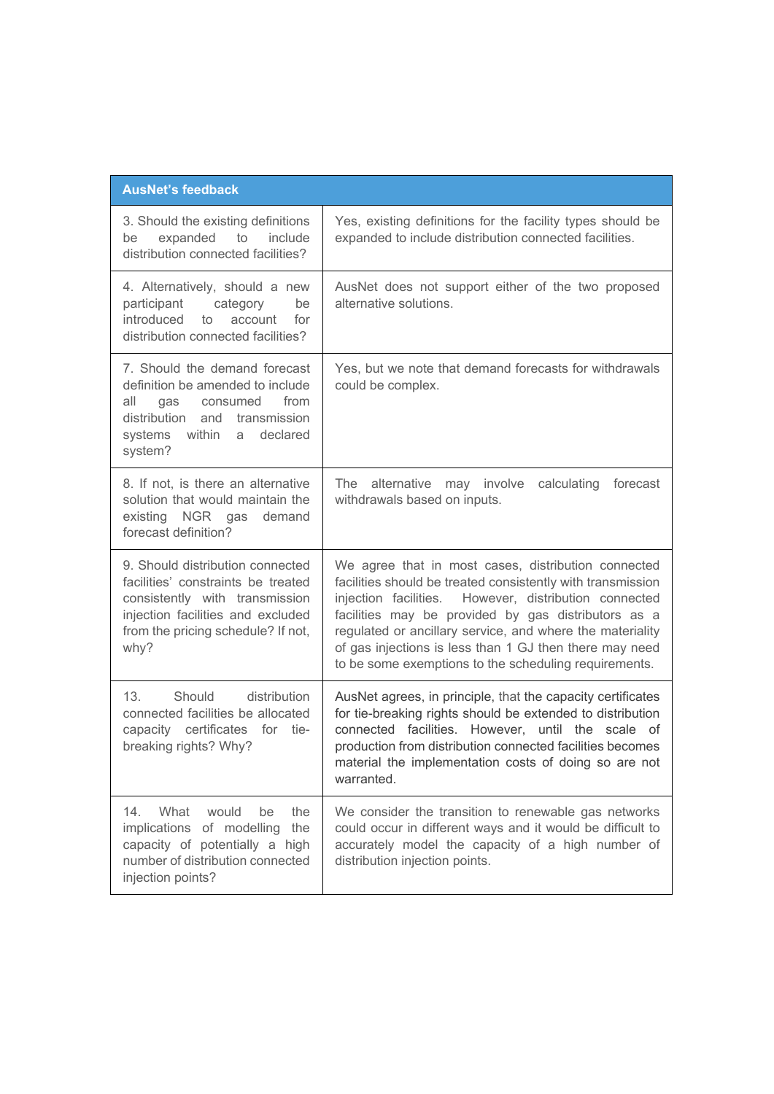| <b>AusNet's feedback</b>                                                                                                                                                                    |                                                                                                                                                                                                                                                                                                                                                                                                                     |  |
|---------------------------------------------------------------------------------------------------------------------------------------------------------------------------------------------|---------------------------------------------------------------------------------------------------------------------------------------------------------------------------------------------------------------------------------------------------------------------------------------------------------------------------------------------------------------------------------------------------------------------|--|
| 3. Should the existing definitions<br>expanded to<br>include<br>be<br>distribution connected facilities?                                                                                    | Yes, existing definitions for the facility types should be<br>expanded to include distribution connected facilities.                                                                                                                                                                                                                                                                                                |  |
| 4. Alternatively, should a new<br>participant<br>category<br>be<br>introduced<br>to<br>account<br>for<br>distribution connected facilities?                                                 | AusNet does not support either of the two proposed<br>alternative solutions.                                                                                                                                                                                                                                                                                                                                        |  |
| 7. Should the demand forecast<br>definition be amended to include<br>from<br>all<br>consumed<br>gas<br>distribution and transmission<br>systems within<br>declared<br>a<br>system?          | Yes, but we note that demand forecasts for withdrawals<br>could be complex.                                                                                                                                                                                                                                                                                                                                         |  |
| 8. If not, is there an alternative<br>solution that would maintain the<br>existing NGR gas demand<br>forecast definition?                                                                   | The<br>alternative<br>involve<br>calculating<br>forecast<br>may<br>withdrawals based on inputs.                                                                                                                                                                                                                                                                                                                     |  |
| 9. Should distribution connected<br>facilities' constraints be treated<br>consistently with transmission<br>injection facilities and excluded<br>from the pricing schedule? If not,<br>why? | We agree that in most cases, distribution connected<br>facilities should be treated consistently with transmission<br>injection facilities. However, distribution connected<br>facilities may be provided by gas distributors as a<br>regulated or ancillary service, and where the materiality<br>of gas injections is less than 1 GJ then there may need<br>to be some exemptions to the scheduling requirements. |  |
| 13 <sub>1</sub><br>Should<br>distribution<br>connected facilities be allocated<br>capacity certificates for tie-<br>breaking rights? Why?                                                   | AusNet agrees, in principle, that the capacity certificates<br>for tie-breaking rights should be extended to distribution<br>connected facilities. However, until the scale of<br>production from distribution connected facilities becomes<br>material the implementation costs of doing so are not<br>warranted.                                                                                                  |  |
| 14.<br>What<br>would<br>be<br>the<br>implications of modelling<br>the<br>capacity of potentially a high<br>number of distribution connected<br>injection points?                            | We consider the transition to renewable gas networks<br>could occur in different ways and it would be difficult to<br>accurately model the capacity of a high number of<br>distribution injection points.                                                                                                                                                                                                           |  |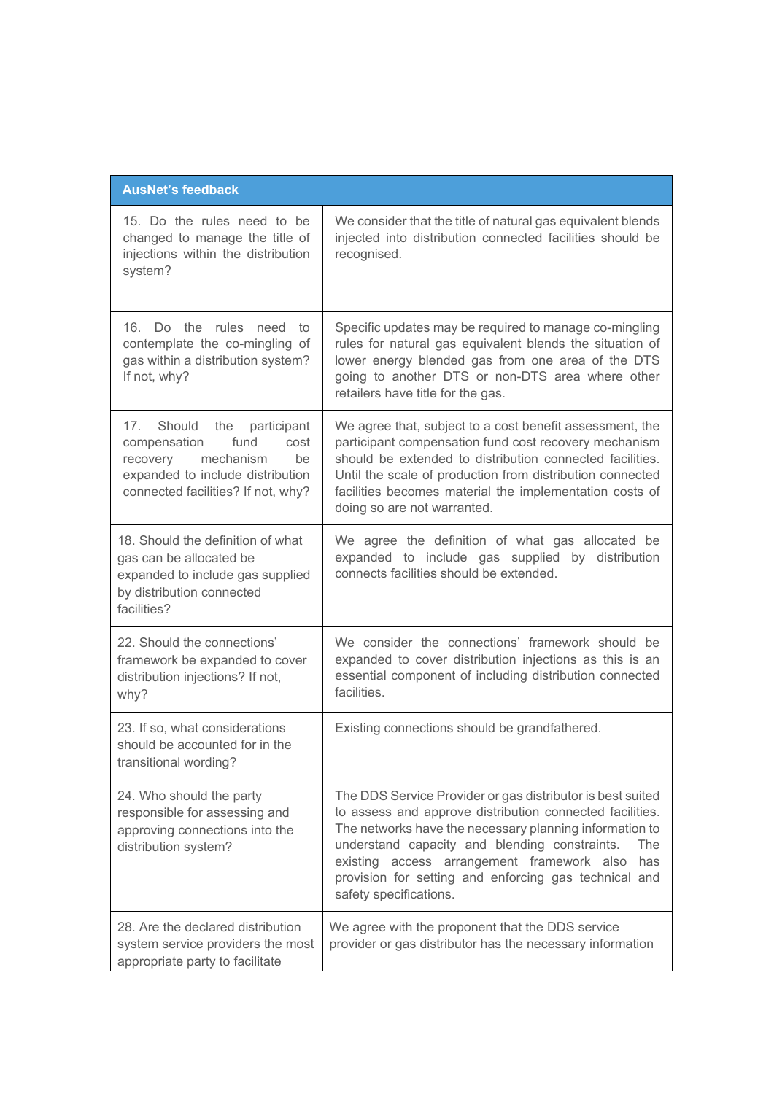| <b>AusNet's feedback</b>                                                                                                                                                              |                                                                                                                                                                                                                                                                                                                                                                                   |
|---------------------------------------------------------------------------------------------------------------------------------------------------------------------------------------|-----------------------------------------------------------------------------------------------------------------------------------------------------------------------------------------------------------------------------------------------------------------------------------------------------------------------------------------------------------------------------------|
| 15. Do the rules need to be<br>changed to manage the title of<br>injections within the distribution<br>system?                                                                        | We consider that the title of natural gas equivalent blends<br>injected into distribution connected facilities should be<br>recognised.                                                                                                                                                                                                                                           |
| 16. Do the rules need to<br>contemplate the co-mingling of<br>gas within a distribution system?<br>If not, why?                                                                       | Specific updates may be required to manage co-mingling<br>rules for natural gas equivalent blends the situation of<br>lower energy blended gas from one area of the DTS<br>going to another DTS or non-DTS area where other<br>retailers have title for the gas.                                                                                                                  |
| 17 <sub>1</sub><br>Should<br>the participant<br>compensation<br>fund<br>cost<br>mechanism<br>recovery<br>be<br>expanded to include distribution<br>connected facilities? If not, why? | We agree that, subject to a cost benefit assessment, the<br>participant compensation fund cost recovery mechanism<br>should be extended to distribution connected facilities.<br>Until the scale of production from distribution connected<br>facilities becomes material the implementation costs of<br>doing so are not warranted.                                              |
| 18. Should the definition of what<br>gas can be allocated be<br>expanded to include gas supplied<br>by distribution connected<br>facilities?                                          | We agree the definition of what gas allocated be<br>expanded to include gas supplied by distribution<br>connects facilities should be extended.                                                                                                                                                                                                                                   |
| 22. Should the connections'<br>framework be expanded to cover<br>distribution injections? If not,<br>why?                                                                             | We consider the connections' framework should be<br>expanded to cover distribution injections as this is an<br>essential component of including distribution connected<br>facilities.                                                                                                                                                                                             |
| 23. If so, what considerations<br>should be accounted for in the<br>transitional wording?                                                                                             | Existing connections should be grandfathered.                                                                                                                                                                                                                                                                                                                                     |
| 24. Who should the party<br>responsible for assessing and<br>approving connections into the<br>distribution system?                                                                   | The DDS Service Provider or gas distributor is best suited<br>to assess and approve distribution connected facilities.<br>The networks have the necessary planning information to<br>understand capacity and blending constraints.<br>The<br>existing access arrangement framework also<br>has<br>provision for setting and enforcing gas technical and<br>safety specifications. |
| 28. Are the declared distribution<br>system service providers the most<br>appropriate party to facilitate                                                                             | We agree with the proponent that the DDS service<br>provider or gas distributor has the necessary information                                                                                                                                                                                                                                                                     |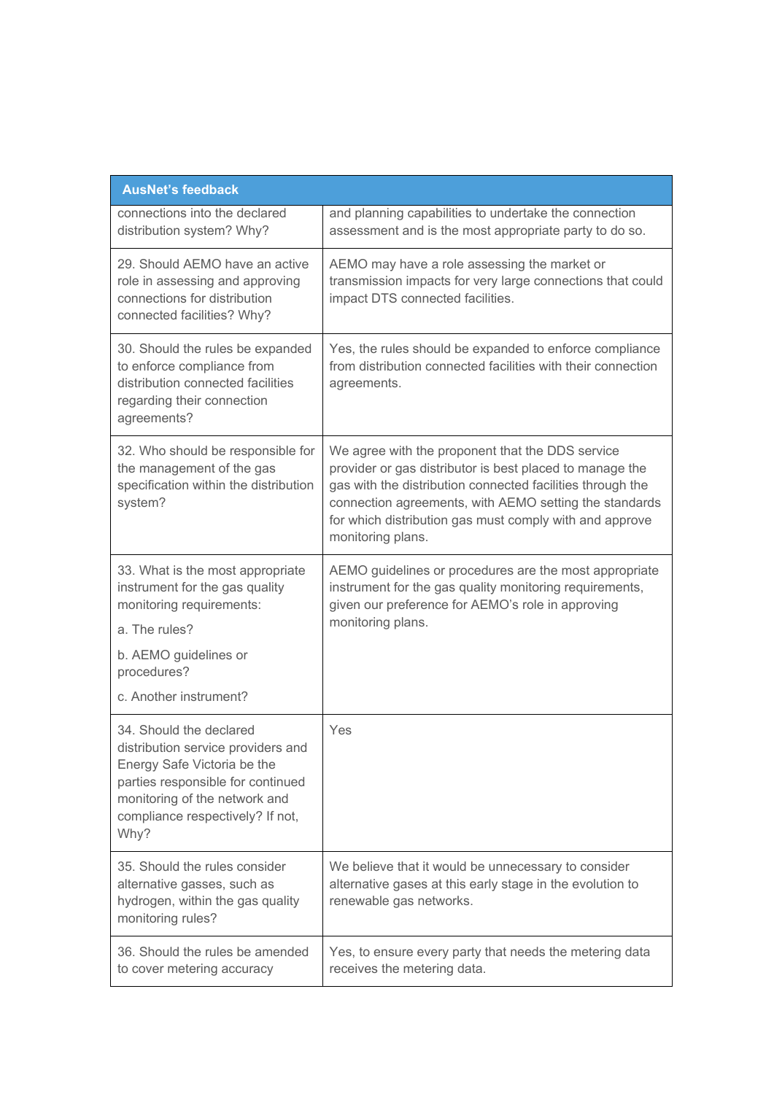| <b>AusNet's feedback</b>                                                                                                                                                                                       |                                                                                                                                                                                                                                                                                                                      |  |
|----------------------------------------------------------------------------------------------------------------------------------------------------------------------------------------------------------------|----------------------------------------------------------------------------------------------------------------------------------------------------------------------------------------------------------------------------------------------------------------------------------------------------------------------|--|
| connections into the declared<br>distribution system? Why?                                                                                                                                                     | and planning capabilities to undertake the connection<br>assessment and is the most appropriate party to do so.                                                                                                                                                                                                      |  |
| 29. Should AEMO have an active<br>role in assessing and approving<br>connections for distribution<br>connected facilities? Why?                                                                                | AEMO may have a role assessing the market or<br>transmission impacts for very large connections that could<br>impact DTS connected facilities.                                                                                                                                                                       |  |
| 30. Should the rules be expanded<br>to enforce compliance from<br>distribution connected facilities<br>regarding their connection<br>agreements?                                                               | Yes, the rules should be expanded to enforce compliance<br>from distribution connected facilities with their connection<br>agreements.                                                                                                                                                                               |  |
| 32. Who should be responsible for<br>the management of the gas<br>specification within the distribution<br>system?                                                                                             | We agree with the proponent that the DDS service<br>provider or gas distributor is best placed to manage the<br>gas with the distribution connected facilities through the<br>connection agreements, with AEMO setting the standards<br>for which distribution gas must comply with and approve<br>monitoring plans. |  |
| 33. What is the most appropriate<br>instrument for the gas quality<br>monitoring requirements:                                                                                                                 | AEMO guidelines or procedures are the most appropriate<br>instrument for the gas quality monitoring requirements,<br>given our preference for AEMO's role in approving                                                                                                                                               |  |
| a. The rules?                                                                                                                                                                                                  | monitoring plans.                                                                                                                                                                                                                                                                                                    |  |
| b. AEMO guidelines or<br>procedures?                                                                                                                                                                           |                                                                                                                                                                                                                                                                                                                      |  |
| c. Another instrument?                                                                                                                                                                                         |                                                                                                                                                                                                                                                                                                                      |  |
| 34. Should the declared<br>distribution service providers and<br>Energy Safe Victoria be the<br>parties responsible for continued<br>monitoring of the network and<br>compliance respectively? If not,<br>Why? | Yes                                                                                                                                                                                                                                                                                                                  |  |
| 35. Should the rules consider<br>alternative gasses, such as<br>hydrogen, within the gas quality<br>monitoring rules?                                                                                          | We believe that it would be unnecessary to consider<br>alternative gases at this early stage in the evolution to<br>renewable gas networks.                                                                                                                                                                          |  |
| 36. Should the rules be amended<br>to cover metering accuracy                                                                                                                                                  | Yes, to ensure every party that needs the metering data<br>receives the metering data.                                                                                                                                                                                                                               |  |